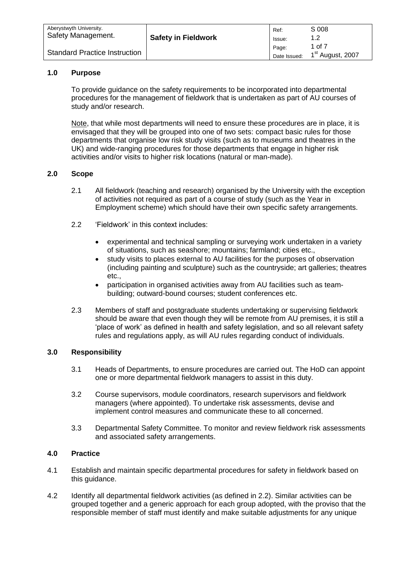| Aberystwyth University.              | <b>Safety in Fieldwork</b> | Ref:                  | S 008                                  |
|--------------------------------------|----------------------------|-----------------------|----------------------------------------|
| Safety Management.                   |                            | Issue:                | 1.2                                    |
| <b>Standard Practice Instruction</b> |                            | Page:<br>Date Issued: | 1 of 7<br>1 <sup>st</sup> August, 2007 |

## **1.0 Purpose**

To provide guidance on the safety requirements to be incorporated into departmental procedures for the management of fieldwork that is undertaken as part of AU courses of study and/or research.

Note, that while most departments will need to ensure these procedures are in place, it is envisaged that they will be grouped into one of two sets: compact basic rules for those departments that organise low risk study visits (such as to museums and theatres in the UK) and wide-ranging procedures for those departments that engage in higher risk activities and/or visits to higher risk locations (natural or man-made).

# **2.0 Scope**

- 2.1 All fieldwork (teaching and research) organised by the University with the exception of activities not required as part of a course of study (such as the Year in Employment scheme) which should have their own specific safety arrangements.
- 2.2 'Fieldwork' in this context includes:
	- experimental and technical sampling or surveying work undertaken in a variety of situations, such as seashore; mountains; farmland; cities etc.,
	- study visits to places external to AU facilities for the purposes of observation (including painting and sculpture) such as the countryside; art galleries; theatres etc.,
	- participation in organised activities away from AU facilities such as teambuilding; outward-bound courses; student conferences etc.
- 2.3 Members of staff and postgraduate students undertaking or supervising fieldwork should be aware that even though they will be remote from AU premises, it is still a 'place of work' as defined in health and safety legislation, and so all relevant safety rules and regulations apply, as will AU rules regarding conduct of individuals.

## **3.0 Responsibility**

- 3.1 Heads of Departments, to ensure procedures are carried out. The HoD can appoint one or more departmental fieldwork managers to assist in this duty.
- 3.2 Course supervisors, module coordinators, research supervisors and fieldwork managers (where appointed). To undertake risk assessments, devise and implement control measures and communicate these to all concerned.
- 3.3 Departmental Safety Committee. To monitor and review fieldwork risk assessments and associated safety arrangements.

## **4.0 Practice**

- 4.1 Establish and maintain specific departmental procedures for safety in fieldwork based on this guidance.
- 4.2 Identify all departmental fieldwork activities (as defined in 2.2). Similar activities can be grouped together and a generic approach for each group adopted, with the proviso that the responsible member of staff must identify and make suitable adjustments for any unique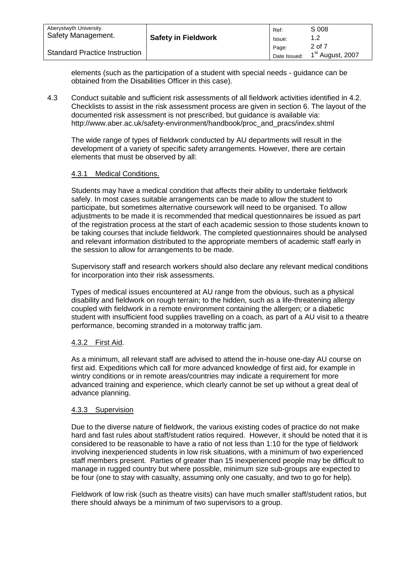| Aberystwyth University.<br>Safety Management. | <b>Safety in Fieldwork</b> | Ref:<br>Issue:        | S 008                                  |
|-----------------------------------------------|----------------------------|-----------------------|----------------------------------------|
| <b>Standard Practice Instruction</b>          |                            | Page:<br>Date Issued: | 2 of 7<br>1 <sup>st</sup> August, 2007 |

elements (such as the participation of a student with special needs - guidance can be obtained from the Disabilities Officer in this case).

4.3 Conduct suitable and sufficient risk assessments of all fieldwork activities identified in 4.2. Checklists to assist in the risk assessment process are given in section 6. The layout of the documented risk assessment is not prescribed, but guidance is available via: [http://www.aber.ac.uk/safety-environment/handbook/proc\\_and\\_pracs/index.shtml](http://www.aber.ac.uk/safety-environment/handbook/proc_and_pracs/index.shtml)

The wide range of types of fieldwork conducted by AU departments will result in the development of a variety of specific safety arrangements. However, there are certain elements that must be observed by all:

## 4.3.1 Medical Conditions.

Students may have a medical condition that affects their ability to undertake fieldwork safely. In most cases suitable arrangements can be made to allow the student to participate, but sometimes alternative coursework will need to be organised. To allow adjustments to be made it is recommended that medical questionnaires be issued as part of the registration process at the start of each academic session to those students known to be taking courses that include fieldwork. The completed questionnaires should be analysed and relevant information distributed to the appropriate members of academic staff early in the session to allow for arrangements to be made.

Supervisory staff and research workers should also declare any relevant medical conditions for incorporation into their risk assessments.

Types of medical issues encountered at AU range from the obvious, such as a physical disability and fieldwork on rough terrain; to the hidden, such as a life-threatening allergy coupled with fieldwork in a remote environment containing the allergen; or a diabetic student with insufficient food supplies travelling on a coach, as part of a AU visit to a theatre performance, becoming stranded in a motorway traffic jam.

# 4.3.2 First Aid.

As a minimum, all relevant staff are advised to attend the in-house one-day AU course on first aid. Expeditions which call for more advanced knowledge of first aid, for example in wintry conditions or in remote areas/countries may indicate a requirement for more advanced training and experience, which clearly cannot be set up without a great deal of advance planning.

## 4.3.3 Supervision

Due to the diverse nature of fieldwork, the various existing codes of practice do not make hard and fast rules about staff/student ratios required. However, it should be noted that it is considered to be reasonable to have a ratio of not less than 1:10 for the type of fieldwork involving inexperienced students in low risk situations, with a minimum of two experienced staff members present. Parties of greater than 15 inexperienced people may be difficult to manage in rugged country but where possible, minimum size sub-groups are expected to be four (one to stay with casualty, assuming only one casualty, and two to go for help).

Fieldwork of low risk (such as theatre visits) can have much smaller staff/student ratios, but there should always be a minimum of two supervisors to a group.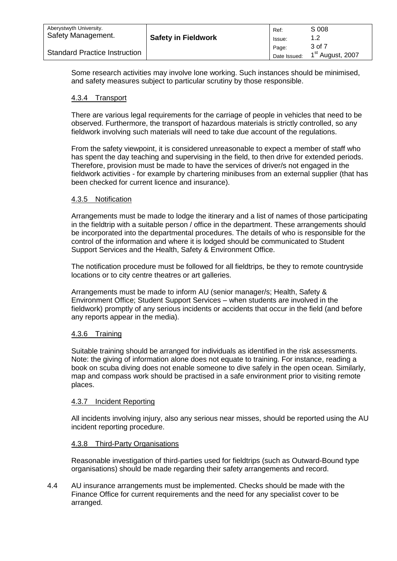| Aberystwyth University.<br>Safety Management. | <b>Safety in Fieldwork</b> | Ref:<br>Issue:        | S 008                                  |
|-----------------------------------------------|----------------------------|-----------------------|----------------------------------------|
| <b>Standard Practice Instruction</b>          |                            | Page:<br>Date Issued: | 3 of 7<br>1 <sup>st</sup> August, 2007 |

Some research activities may involve lone working. Such instances should be minimised, and safety measures subject to particular scrutiny by those responsible.

# 4.3.4 Transport

There are various legal requirements for the carriage of people in vehicles that need to be observed. Furthermore, the transport of hazardous materials is strictly controlled, so any fieldwork involving such materials will need to take due account of the regulations.

From the safety viewpoint, it is considered unreasonable to expect a member of staff who has spent the day teaching and supervising in the field, to then drive for extended periods. Therefore, provision must be made to have the services of driver/s not engaged in the fieldwork activities - for example by chartering minibuses from an external supplier (that has been checked for current licence and insurance).

## 4.3.5 Notification

Arrangements must be made to lodge the itinerary and a list of names of those participating in the fieldtrip with a suitable person / office in the department. These arrangements should be incorporated into the departmental procedures. The details of who is responsible for the control of the information and where it is lodged should be communicated to Student Support Services and the Health, Safety & Environment Office.

The notification procedure must be followed for all fieldtrips, be they to remote countryside locations or to city centre theatres or art galleries.

Arrangements must be made to inform AU (senior manager/s; Health, Safety & Environment Office; Student Support Services – when students are involved in the fieldwork) promptly of any serious incidents or accidents that occur in the field (and before any reports appear in the media).

# 4.3.6 Training

Suitable training should be arranged for individuals as identified in the risk assessments. Note: the giving of information alone does not equate to training. For instance, reading a book on scuba diving does not enable someone to dive safely in the open ocean. Similarly, map and compass work should be practised in a safe environment prior to visiting remote places.

## 4.3.7 Incident Reporting

All incidents involving injury, also any serious near misses, should be reported using the AU incident reporting procedure.

## 4.3.8 Third-Party Organisations

Reasonable investigation of third-parties used for fieldtrips (such as Outward-Bound type organisations) should be made regarding their safety arrangements and record.

4.4 AU insurance arrangements must be implemented. Checks should be made with the Finance Office for current requirements and the need for any specialist cover to be arranged.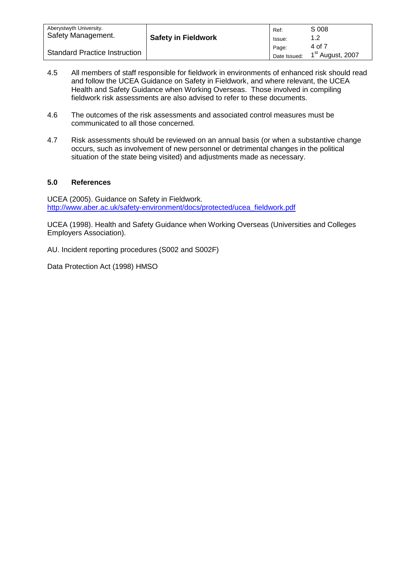| Aberystwyth University.<br>Safety Management. | <b>Safety in Fieldwork</b> | Ref:<br>Issue:        | S 008                                  |
|-----------------------------------------------|----------------------------|-----------------------|----------------------------------------|
| <b>Standard Practice Instruction</b>          |                            | Page:<br>Date Issued: | 4 of 7<br>1 <sup>st</sup> August, 2007 |

- 4.5 All members of staff responsible for fieldwork in environments of enhanced risk should read and follow the UCEA Guidance on Safety in Fieldwork, and where relevant, the UCEA Health and Safety Guidance when Working Overseas. Those involved in compiling fieldwork risk assessments are also advised to refer to these documents.
- 4.6 The outcomes of the risk assessments and associated control measures must be communicated to all those concerned.
- 4.7 Risk assessments should be reviewed on an annual basis (or when a substantive change occurs, such as involvement of new personnel or detrimental changes in the political situation of the state being visited) and adjustments made as necessary.

# **5.0 References**

UCEA (2005). Guidance on Safety in Fieldwork. [http://www.aber.ac.uk/safety-environment/docs/protected/ucea\\_fieldwork.pdf](http://www.aber.ac.uk/safety-environment/docs/protected/ucea_fieldwork.pdf)

UCEA (1998). Health and Safety Guidance when Working Overseas (Universities and Colleges Employers Association).

AU. Incident reporting procedures (S002 and S002F)

Data Protection Act (1998) HMSO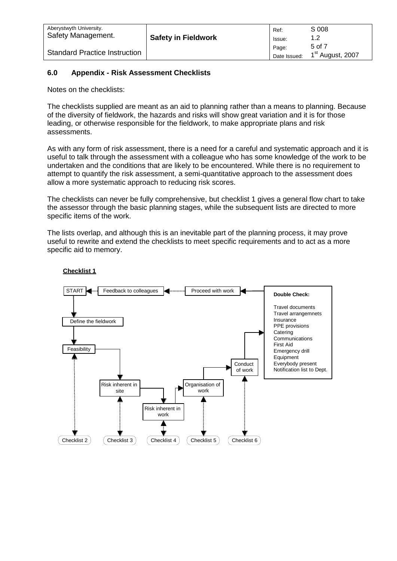| Aberystwyth University.              | <b>Safety in Fieldwork</b> | Ref:                  | S 008                                  |
|--------------------------------------|----------------------------|-----------------------|----------------------------------------|
| Safety Management.                   |                            | Issue:                | 1.2                                    |
| <b>Standard Practice Instruction</b> |                            | Page:<br>Date Issued: | 5 of 7<br>1 <sup>st</sup> August, 2007 |

# **6.0 Appendix - Risk Assessment Checklists**

Notes on the checklists:

The checklists supplied are meant as an aid to planning rather than a means to planning. Because of the diversity of fieldwork, the hazards and risks will show great variation and it is for those leading, or otherwise responsible for the fieldwork, to make appropriate plans and risk assessments.

As with any form of risk assessment, there is a need for a careful and systematic approach and it is useful to talk through the assessment with a colleague who has some knowledge of the work to be undertaken and the conditions that are likely to be encountered. While there is no requirement to attempt to quantify the risk assessment, a semi-quantitative approach to the assessment does allow a more systematic approach to reducing risk scores.

The checklists can never be fully comprehensive, but checklist 1 gives a general flow chart to take the assessor through the basic planning stages, while the subsequent lists are directed to more specific items of the work.

The lists overlap, and although this is an inevitable part of the planning process, it may prove useful to rewrite and extend the checklists to meet specific requirements and to act as a more specific aid to memory.



## **Checklist 1**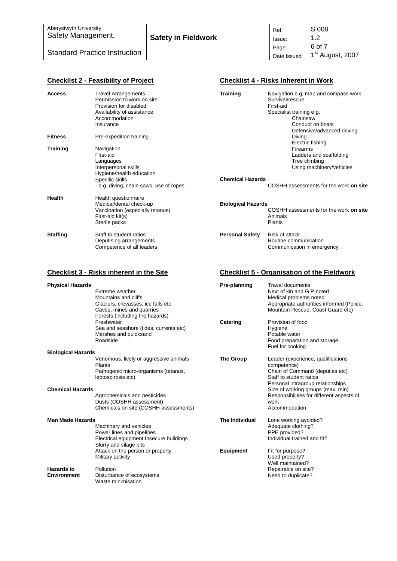| Aberystwyth University.              | <b>Safety in Fieldwork</b> | Ref:                  | S 008                                  |
|--------------------------------------|----------------------------|-----------------------|----------------------------------------|
| Safety Management.                   |                            | Issue:                | 1.2                                    |
| <b>Standard Practice Instruction</b> |                            | Page:<br>Date Issued: | 6 of 7<br>1 <sup>st</sup> August, 2007 |

|                           | <b>Checklist 2 - Feasibility of Project</b>                                                                                                    |                           | <b>Checklist 4 - Risks Inherent in Work</b>                                                                                                                    |
|---------------------------|------------------------------------------------------------------------------------------------------------------------------------------------|---------------------------|----------------------------------------------------------------------------------------------------------------------------------------------------------------|
| <b>Access</b>             | <b>Travel Arrangements</b><br>Permission to work on site<br>Provision for disabled<br>Availability of assistance<br>Accommodation<br>Insurance | <b>Training</b>           | Navigation e.g. map and compass work<br>Survival/rescue<br>First-aid<br>Specialist training e.g.<br>Chainsaw<br>Conduct on boats<br>Defensive/advanced driving |
| <b>Fitness</b>            | Pre-expedition training                                                                                                                        |                           | Diving<br>Electric fishing                                                                                                                                     |
| <b>Training</b>           | Navigation<br>First-aid<br>Languages<br>Interpersonal skills<br>Hygiene/health education                                                       |                           | Firearms<br>Ladders and scaffolding<br>Tree climbing<br>Using machinery/vehicles                                                                               |
|                           | Specific skills<br>- e.g. diving, chain saws, use of ropes                                                                                     | <b>Chemical Hazards</b>   | COSHH assessments for the work on site                                                                                                                         |
| Health                    | Health questionnaire<br>Medical/dental check-up<br>Vaccination (especially tetanus)<br>First-aid kit(s)<br>Sterile packs                       | <b>Biological Hazards</b> | COSHH assessments for the work on site<br>Animals<br>Plants                                                                                                    |
| <b>Staffing</b>           | Staff to student ratios<br>Deputising arrangements<br>Competence of all leaders                                                                | <b>Personal Safety</b>    | Risk of attack<br>Routine communication<br>Communication in emergency                                                                                          |
|                           | <b>Checklist 3 - Risks inherent in the Site</b>                                                                                                |                           | <b>Checklist 5 - Organisation of the Fieldwork</b>                                                                                                             |
| <b>Physical Hazards</b>   | Extreme weather<br>Mountains and cliffs<br>Glaciers, crevasses, ice falls etc<br>Caves, mines and quarries<br>Forests (including fire hazards) | Pre-planning              | Travel documents<br>Next of kin and G P noted<br>Medical problems noted<br>Appropriate authorities informed (Police,<br>Mountain Rescue, Coast Guard etc)      |
|                           | Freshwater<br>Sea and seashore (tides, currents etc)<br>Marshes and quicksand<br>Roadside                                                      | Catering                  | Provision of food<br>Hygiene<br>Potable water<br>Food preparation and storage<br>Fuel for cooking                                                              |
| <b>Biological Hazards</b> | Venomous, lively or aggressive animals.                                                                                                        | <b>The Group</b>          | Leader (experience qualifications                                                                                                                              |

|                                                      | Extreme weather<br>Mountains and cliffs<br>Glaciers, crevasses, ice falls etc<br>Caves, mines and quarries<br>Forests (including fire hazards)<br>Freshwater<br>Sea and seashore (tides, currents etc)<br>Marshes and quicksand<br>Roadside | Catering         | Next of kin and G P noted<br>Medical problems noted<br>Appropriate authorities informed (Police,<br>Mountain Rescue, Coast Guard etc)<br>Provision of food<br>Hygiene<br>Potable water<br>Food preparation and storage                 |
|------------------------------------------------------|---------------------------------------------------------------------------------------------------------------------------------------------------------------------------------------------------------------------------------------------|------------------|----------------------------------------------------------------------------------------------------------------------------------------------------------------------------------------------------------------------------------------|
|                                                      |                                                                                                                                                                                                                                             |                  | Fuel for cooking                                                                                                                                                                                                                       |
| <b>Biological Hazards</b><br><b>Chemical Hazards</b> | Venomous, lively or aggressive animals<br>Plants<br>Pathogenic micro-organisms (tetanus,<br>leptospirosis etc)<br>Agrochemicals and pesticides                                                                                              | <b>The Group</b> | Leader (experience, qualifications<br>competence)<br>Chain of Command (deputies etc)<br>Staff to student ratios<br>Personal intragroup relationships<br>Size of working groups (max, min)<br>Responsibilities for different aspects of |
|                                                      | Dusts (COSHH assessment)<br>Chemicals on site (COSHH assessments)                                                                                                                                                                           |                  | work<br>Accommodation                                                                                                                                                                                                                  |
| <b>Man Made Hazards</b>                              | Machinery and vehicles<br>Power lines and pipelines<br>Electrical equipment Insecure buildings<br>Slurry and silage pits                                                                                                                    | The Individual   | Lone working avoided?<br>Adequate clothing?<br>PPE provided?<br>Individual trained and fit?                                                                                                                                            |
|                                                      | Attack on the person or property<br>Military activity                                                                                                                                                                                       | <b>Equipment</b> | Fit for purpose?<br>Used properly?<br>Well maintained?                                                                                                                                                                                 |
| <b>Hazards to</b><br><b>Environment</b>              | Pollution<br>Disturbance of ecosystems<br>Waste minimisation                                                                                                                                                                                |                  | Repairable on site?<br>Need to duplicate?                                                                                                                                                                                              |
|                                                      |                                                                                                                                                                                                                                             |                  |                                                                                                                                                                                                                                        |